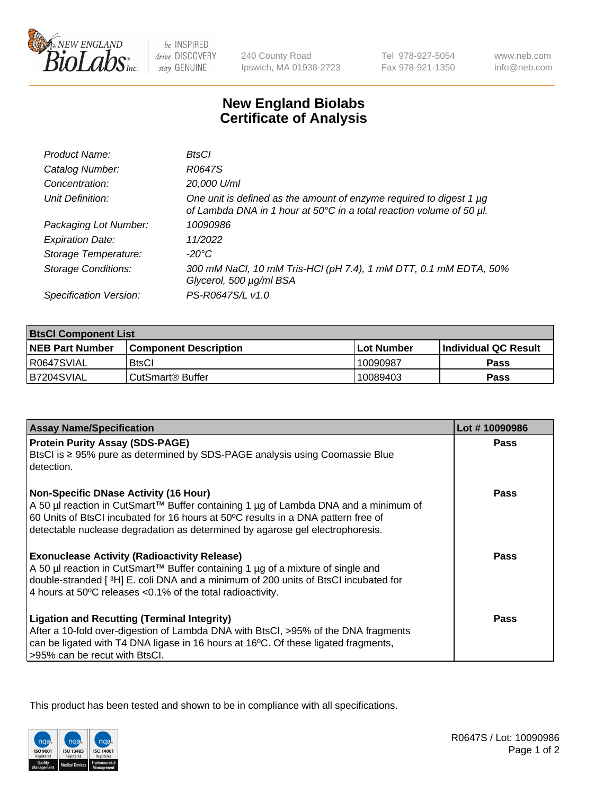

 $be$  INSPIRED drive DISCOVERY stay GENUINE

240 County Road Ipswich, MA 01938-2723 Tel 978-927-5054 Fax 978-921-1350

www.neb.com info@neb.com

## **New England Biolabs Certificate of Analysis**

| Product Name:              | BtsCl                                                                                                                                            |
|----------------------------|--------------------------------------------------------------------------------------------------------------------------------------------------|
| Catalog Number:            | R0647S                                                                                                                                           |
| Concentration:             | 20,000 U/ml                                                                                                                                      |
| Unit Definition:           | One unit is defined as the amount of enzyme required to digest 1 $\mu$ g<br>of Lambda DNA in 1 hour at 50°C in a total reaction volume of 50 µl. |
| Packaging Lot Number:      | 10090986                                                                                                                                         |
| <b>Expiration Date:</b>    | 11/2022                                                                                                                                          |
| Storage Temperature:       | $-20^{\circ}$ C                                                                                                                                  |
| <b>Storage Conditions:</b> | 300 mM NaCl, 10 mM Tris-HCl (pH 7.4), 1 mM DTT, 0.1 mM EDTA, 50%<br>Glycerol, 500 µg/ml BSA                                                      |
| Specification Version:     | PS-R0647S/L v1.0                                                                                                                                 |

| <b>BtsCI Component List</b> |                         |             |                             |  |
|-----------------------------|-------------------------|-------------|-----------------------------|--|
| <b>NEB Part Number</b>      | l Component Description | ⊺Lot Number | <b>Individual QC Result</b> |  |
| I R0647SVIAL                | <b>BtsCI</b>            | 10090987    | Pass                        |  |
| B7204SVIAL                  | l CutSmart® Buffer      | 10089403    | Pass                        |  |

| <b>Assay Name/Specification</b>                                                                                                                                                                                                                                                                           | Lot #10090986 |
|-----------------------------------------------------------------------------------------------------------------------------------------------------------------------------------------------------------------------------------------------------------------------------------------------------------|---------------|
| <b>Protein Purity Assay (SDS-PAGE)</b><br>BtsCl is ≥ 95% pure as determined by SDS-PAGE analysis using Coomassie Blue<br>detection.                                                                                                                                                                       | Pass          |
| <b>Non-Specific DNase Activity (16 Hour)</b><br>A 50 µl reaction in CutSmart™ Buffer containing 1 µg of Lambda DNA and a minimum of<br>60 Units of BtsCl incubated for 16 hours at 50°C results in a DNA pattern free of<br>detectable nuclease degradation as determined by agarose gel electrophoresis. | Pass          |
| <b>Exonuclease Activity (Radioactivity Release)</b><br>A 50 µl reaction in CutSmart™ Buffer containing 1 µg of a mixture of single and<br>double-stranded [3H] E. coli DNA and a minimum of 200 units of BtsCl incubated for<br>4 hours at 50°C releases <0.1% of the total radioactivity.                | Pass          |
| <b>Ligation and Recutting (Terminal Integrity)</b><br>After a 10-fold over-digestion of Lambda DNA with BtsCI, >95% of the DNA fragments<br>can be ligated with T4 DNA ligase in 16 hours at 16°C. Of these ligated fragments,<br>>95% can be recut with BtsCl.                                           | Pass          |

This product has been tested and shown to be in compliance with all specifications.